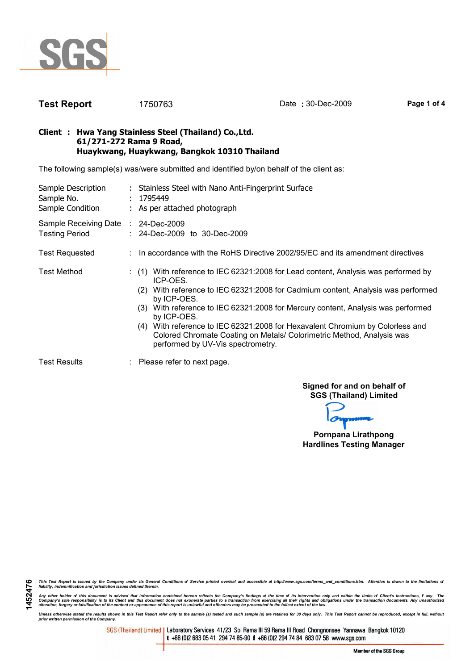

1452476

**Test Report** 1750763 Date : 30-Dec-2009 Page 1 of 4

### Client : Hwa Yang Stainless Steel (Thailand) Co.,Ltd. 61/271-272 Rama 9 Road, Huaykwang, Huaykwang, Bangkok 10310 Thailand

The following sample(s) was/were submitted and identified by/on behalf of the client as:

| Sample Description<br>Sample No.<br>Sample Condition         | : Stainless Steel with Nano Anti-Fingerprint Surface<br>: 1795449<br>: As per attached photograph                                                                                                                                                                                                                                                                                                                                                                                                      |  |  |  |  |
|--------------------------------------------------------------|--------------------------------------------------------------------------------------------------------------------------------------------------------------------------------------------------------------------------------------------------------------------------------------------------------------------------------------------------------------------------------------------------------------------------------------------------------------------------------------------------------|--|--|--|--|
| Sample Receiving Date : 24-Dec-2009<br><b>Testing Period</b> | : 24-Dec-2009 to 30-Dec-2009                                                                                                                                                                                                                                                                                                                                                                                                                                                                           |  |  |  |  |
| <b>Test Requested</b>                                        | $\therefore$ In accordance with the RoHS Directive 2002/95/EC and its amendment directives                                                                                                                                                                                                                                                                                                                                                                                                             |  |  |  |  |
| <b>Test Method</b>                                           | $(1)$ With reference to IEC 62321:2008 for Lead content, Analysis was performed by<br>ICP-OES.<br>With reference to IEC 62321:2008 for Cadmium content, Analysis was performed<br>(2)<br>by ICP-OES.<br>(3) With reference to IEC 62321:2008 for Mercury content, Analysis was performed<br>by ICP-OES.<br>(4) With reference to IEC 62321:2008 for Hexavalent Chromium by Colorless and<br>Colored Chromate Coating on Metals/ Colorimetric Method, Analysis was<br>performed by UV-Vis spectrometry. |  |  |  |  |
| <b>Test Results</b>                                          | $\therefore$ Please refer to next page.                                                                                                                                                                                                                                                                                                                                                                                                                                                                |  |  |  |  |

Signed for and on behalf of SGS (Thailand) Limited

Pornpana Lirathpong Hardlines Testing Manager

This Test Report is issued by the Company under its General Conditions of Service printed overleaf and accessible at http://www.sgs.com/terms\_and\_conditions.htm. Attention is drawn to the limitations of<br>liability, indemni

Any other holder of this document is advised that information contained hereon reflects the Company's findings at the time of its intervention only and within the limits of Client's instructions, if any. The<br>Company's sole

Unless otherwise stated the results shown in this Test Report refer only to the sample (s) tested and such sample (s) are retained for 30 days only. This Test Report cannot be reproduced, except in full, without<br>prior writ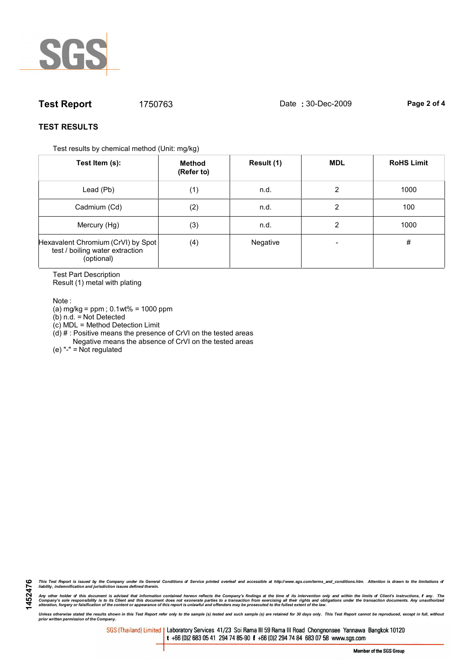

# **Test Report** 1750763 Date : 30-Dec-2009 Page 2 of 4

## TEST RESULTS

Test results by chemical method (Unit: mg/kg)

| Test Item (s):                                                                      | Method<br>(Refer to) | Result (1) | <b>MDL</b> | <b>RoHS Limit</b> |
|-------------------------------------------------------------------------------------|----------------------|------------|------------|-------------------|
| Lead (Pb)                                                                           | (1)                  | n.d.       | 2          | 1000              |
| Cadmium (Cd)                                                                        | (2)                  | n.d.       | 2          | 100               |
| Mercury (Hg)                                                                        | (3)                  | n.d.       | 2          | 1000              |
| Hexavalent Chromium (CrVI) by Spot<br>test / boiling water extraction<br>(optional) | (4)                  | Negative   |            | #                 |

Test Part Description Result (1) metal with plating

Note :

1452476

(a) mg/kg = ppm ; 0.1wt% = 1000 ppm

(b) n.d. = Not Detected

(c) MDL = Method Detection Limit

 $(d)$  # : Positive means the presence of CrVI on the tested areas

Negative means the absence of CrVI on the tested areas

(e) "-" = Not regulated

This Test Report is issued by the Company under its General Conditions of Service printed overleaf and accessible at http://www.sgs.com/terms\_and\_conditions.htm. Attention is drawn to the limitations of<br>liability, indemni

Any other holder of this document is advised that information contained hereon reflects the Company's findings at the time of its intervention only and within the limits of Client's instructions, if any. The<br>Company's sole

Unless otherwise stated the results shown in this Test Report refer only to the sample (s) tested and such sample (s) are retained for 30 days only. This Test Report cannot be reproduced, except in full, without<br>prior writ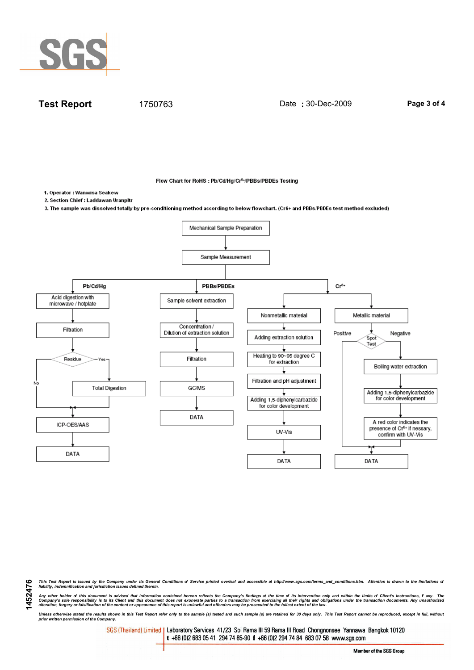

**Test Report** 1750763 Date : 30-Dec-2009 Page 3 of 4

Flow Chart for RoHS : Pb/Cd/Hg/Cr<sup>6+</sup>/PBBs/PBDEs Testing

1. Operator : Wanwisa Seakew

1452476

2. Section Chief : Laddawan Uranpitr

3. The sample was dissolved totally by pre-conditioning method according to below flowchart. (Cr6+ and PBBs/PBDEs test method excluded)



This Test Report is issued by the Company under its General Conditions of Service printed overleaf and accessible at http://www.sgs.com/terms\_and\_conditions.htm. Attention is drawn to the limitations of<br>liability, indemni

Any other holder of this document is advised that information contained hereon reflects the Company's findings at the time of its intervention only and within the limits of Client's instructions, if any. The<br>Company's sole

Unless otherwise stated the results shown in this Test Report refer only to the sample (s) tested and such sample (s) are retained for 30 days only. This Test Report cannot be reproduced, except in full, without<br>prior writ